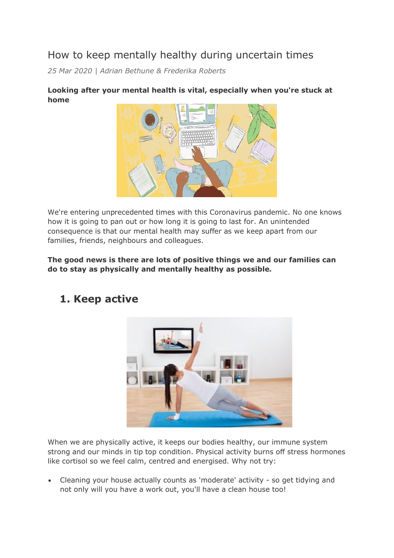# How to keep mentally healthy during uncertain times

*25 Mar 2020 | Adrian Bethune & Frederika Roberts*

#### **Looking after your mental health is vital, especially when you're stuck at home**



We're entering unprecedented times with this Coronavirus pandemic. No one knows how it is going to pan out or how long it is going to last for. An unintended consequence is that our mental health may suffer as we keep apart from our families, friends, neighbours and colleagues.

**The good news is there are lots of positive things we and our families can do to stay as physically and mentally healthy as possible.**



### **1. Keep active**

When we are physically active, it keeps our bodies healthy, our immune system strong and our minds in tip top condition. Physical activity burns off stress hormones like cortisol so we feel calm, centred and energised. Why not try:

 Cleaning your house actually counts as 'moderate' activity - so get tidying and not only will you have a work out, you'll have a clean house too!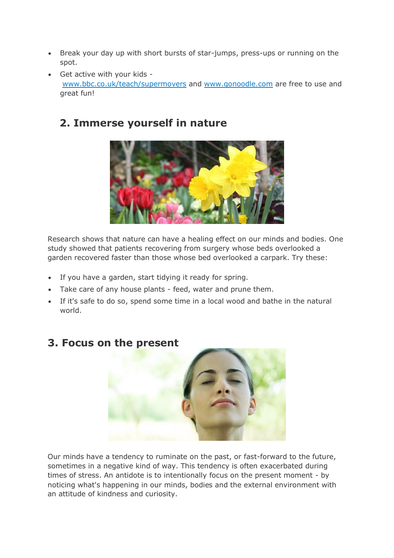- Break your day up with short bursts of star-jumps, press-ups or running on the spot.
- Get active with your kids [www.bbc.co.uk/teach/supermovers](https://www.bbc.co.uk/teach/supermovers) and [www.gonoodle.com](http://www.gonoodle.com/) are free to use and great fun!

## **2. Immerse yourself in nature**



Research shows that nature can have a healing effect on our minds and bodies. One study showed that patients recovering from surgery whose beds overlooked a garden recovered faster than those whose bed overlooked a carpark. Try these:

- If you have a garden, start tidying it ready for spring.
- Take care of any house plants feed, water and prune them.
- If it's safe to do so, spend some time in a local wood and bathe in the natural world.



### **3. Focus on the present**

Our minds have a tendency to ruminate on the past, or fast-forward to the future, sometimes in a negative kind of way. This tendency is often exacerbated during times of stress. An antidote is to intentionally focus on the present moment - by noticing what's happening in our minds, bodies and the external environment with an attitude of kindness and curiosity.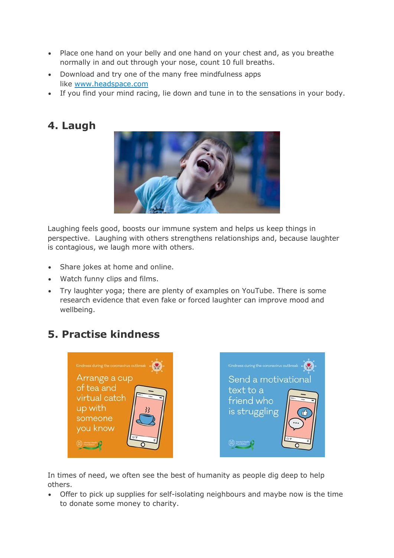- Place one hand on your belly and one hand on your chest and, as you breathe normally in and out through your nose, count 10 full breaths.
- Download and try one of the many free mindfulness apps like [www.headspace.com](http://www.headspace.com/)
- If you find your mind racing, lie down and tune in to the sensations in your body.

# **4. Laugh**



Laughing feels good, boosts our immune system and helps us keep things in perspective. Laughing with others strengthens relationships and, because laughter is contagious, we laugh more with others.

- Share jokes at home and online.
- Watch funny clips and films.
- Try laughter yoga; there are plenty of examples on YouTube. There is some research evidence that even fake or forced laughter can improve mood and wellbeing.

# **5. Practise kindness**





In times of need, we often see the best of humanity as people dig deep to help others.

 Offer to pick up supplies for self-isolating neighbours and maybe now is the time to donate some money to charity.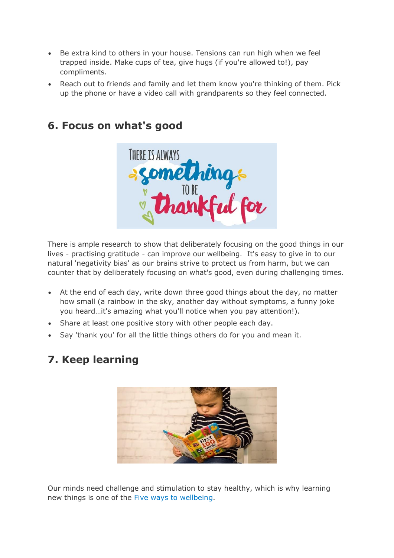- Be extra kind to others in your house. Tensions can run high when we feel trapped inside. Make cups of tea, give hugs (if you're allowed to!), pay compliments.
- Reach out to friends and family and let them know you're thinking of them. Pick up the phone or have a video call with grandparents so they feel connected.

#### **6. Focus on what's good**



There is ample research to show that deliberately focusing on the good things in our lives - practising gratitude - can improve our wellbeing. It's easy to give in to our natural 'negativity bias' as our brains strive to protect us from harm, but we can counter that by deliberately focusing on what's good, even during challenging times.

- At the end of each day, write down three good things about the day, no matter how small (a rainbow in the sky, another day without symptoms, a funny joke you heard…it's amazing what you'll notice when you pay attention!).
- Share at least one positive story with other people each day.
- Say 'thank you' for all the little things others do for you and mean it.

### **7. Keep learning**



Our minds need challenge and stimulation to stay healthy, which is why learning new things is one of the Five ways to [wellbeing.](https://www.gov.uk/government/publications/five-ways-to-mental-wellbeing)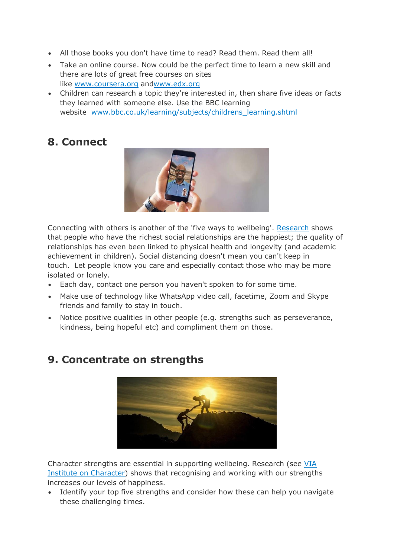- All those books you don't have time to read? Read them. Read them all!
- Take an online course. Now could be the perfect time to learn a new skill and there are lots of great free courses on sites like [www.coursera.org](http://www.coursera.org/) an[dwww.edx.org](http://www.edx.org/)
- Children can research a topic they're interested in, then share five ideas or facts they learned with someone else. Use the BBC learning website [www.bbc.co.uk/learning/subjects/childrens\\_learning.shtml](http://www.bbc.co.uk/learning/subjects/childrens_learning.shtml)

# **8. Connect**



Connecting with others is another of the 'five ways to wellbeing'. [Research](https://www.ted.com/talks/robert_waldinger_what_makes_a_good_life_lessons_from_the_longest_study_on_happiness) shows that people who have the richest social relationships are the happiest; the quality of relationships has even been linked to physical health and longevity (and academic achievement in children). Social distancing doesn't mean you can't keep in touch. Let people know you care and especially contact those who may be more isolated or lonely.

- Each day, contact one person you haven't spoken to for some time.
- Make use of technology like WhatsApp video call, facetime, Zoom and Skype friends and family to stay in touch.
- Notice positive qualities in other people (e.g. strengths such as perseverance, kindness, being hopeful etc) and compliment them on those.

# **9. Concentrate on strengths**

Character strengths are essential in supporting wellbeing. Research (see [VIA](https://www.viacharacter.org/research/findings) Institute on [Character\)](https://www.viacharacter.org/research/findings) shows that recognising and working with our strengths increases our levels of happiness.

• Identify your top five strengths and consider how these can help you navigate these challenging times.